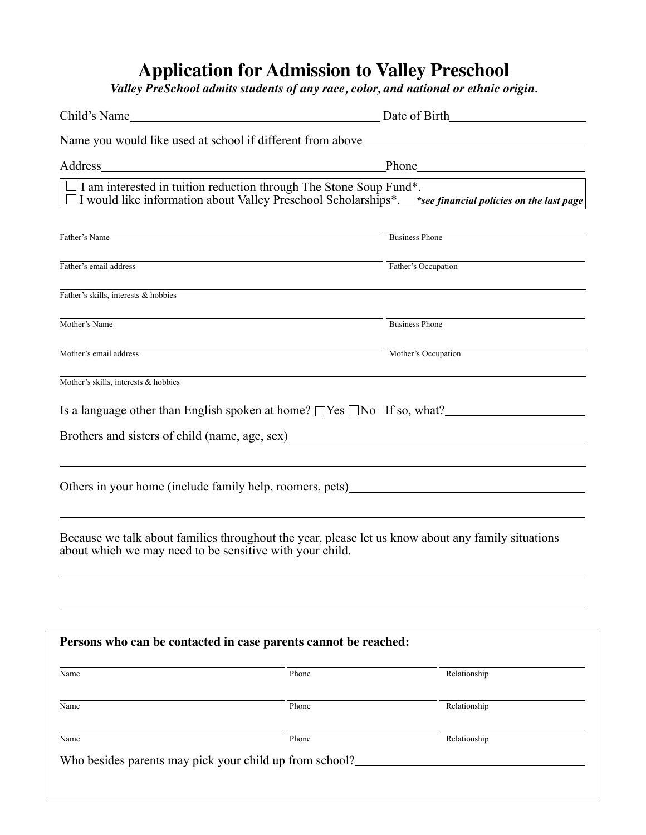## **Application for Admission to Valley Preschool**

*Valley PreSchool admits students of any race, color, and national or ethnic origin.*

| Child's Name                                                                                                                                       | <u> 1980 - Johann Barn, mars ann an t-Amhain Aonaich an t-Aonaich an t-Aonaich ann an t-Aonaich ann an t-Aonaich</u>   | Date of Birth                                                                                                                                                                                                                 |                                                                                                    |  |
|----------------------------------------------------------------------------------------------------------------------------------------------------|------------------------------------------------------------------------------------------------------------------------|-------------------------------------------------------------------------------------------------------------------------------------------------------------------------------------------------------------------------------|----------------------------------------------------------------------------------------------------|--|
|                                                                                                                                                    |                                                                                                                        |                                                                                                                                                                                                                               | Name you would like used at school if different from above_______________________                  |  |
| Address                                                                                                                                            | <u> 1989 - Johann Barn, mars ann an t-Amhain Aonaich an t-Aonaich an t-Aonaich an t-Aonaich an t-Aonaich ann an t-</u> | Phone has a series of the series of the series of the series of the series of the series of the series of the series of the series of the series of the series of the series of the series of the series of the series of the |                                                                                                    |  |
| $\Box$ I am interested in tuition reduction through The Stone Soup Fund*.<br>$\Box$ I would like information about Valley Preschool Scholarships*. |                                                                                                                        |                                                                                                                                                                                                                               | *see financial policies on the last page                                                           |  |
|                                                                                                                                                    |                                                                                                                        |                                                                                                                                                                                                                               |                                                                                                    |  |
| Father's Name                                                                                                                                      |                                                                                                                        | <b>Business Phone</b>                                                                                                                                                                                                         |                                                                                                    |  |
| Father's email address                                                                                                                             |                                                                                                                        | Father's Occupation                                                                                                                                                                                                           |                                                                                                    |  |
| Father's skills, interests & hobbies                                                                                                               |                                                                                                                        |                                                                                                                                                                                                                               |                                                                                                    |  |
| Mother's Name                                                                                                                                      |                                                                                                                        |                                                                                                                                                                                                                               | <b>Business Phone</b>                                                                              |  |
| Mother's email address                                                                                                                             |                                                                                                                        | Mother's Occupation                                                                                                                                                                                                           |                                                                                                    |  |
| Mother's skills, interests & hobbies                                                                                                               |                                                                                                                        |                                                                                                                                                                                                                               |                                                                                                    |  |
|                                                                                                                                                    |                                                                                                                        |                                                                                                                                                                                                                               | Is a language other than English spoken at home? $\Box$ Yes $\Box$ No If so, what?                 |  |
|                                                                                                                                                    |                                                                                                                        |                                                                                                                                                                                                                               |                                                                                                    |  |
|                                                                                                                                                    |                                                                                                                        |                                                                                                                                                                                                                               |                                                                                                    |  |
| about which we may need to be sensitive with your child.                                                                                           |                                                                                                                        |                                                                                                                                                                                                                               | Because we talk about families throughout the year, please let us know about any family situations |  |
|                                                                                                                                                    |                                                                                                                        |                                                                                                                                                                                                                               |                                                                                                    |  |
| Persons who can be contacted in case parents cannot be reached:                                                                                    |                                                                                                                        |                                                                                                                                                                                                                               |                                                                                                    |  |
| Name                                                                                                                                               | Phone                                                                                                                  |                                                                                                                                                                                                                               | Relationship                                                                                       |  |
| Name                                                                                                                                               | Phone                                                                                                                  |                                                                                                                                                                                                                               | Relationship                                                                                       |  |
| Name                                                                                                                                               | Phone                                                                                                                  |                                                                                                                                                                                                                               | Relationship                                                                                       |  |
| Who besides parents may pick your child up from school?                                                                                            |                                                                                                                        |                                                                                                                                                                                                                               |                                                                                                    |  |
|                                                                                                                                                    |                                                                                                                        |                                                                                                                                                                                                                               |                                                                                                    |  |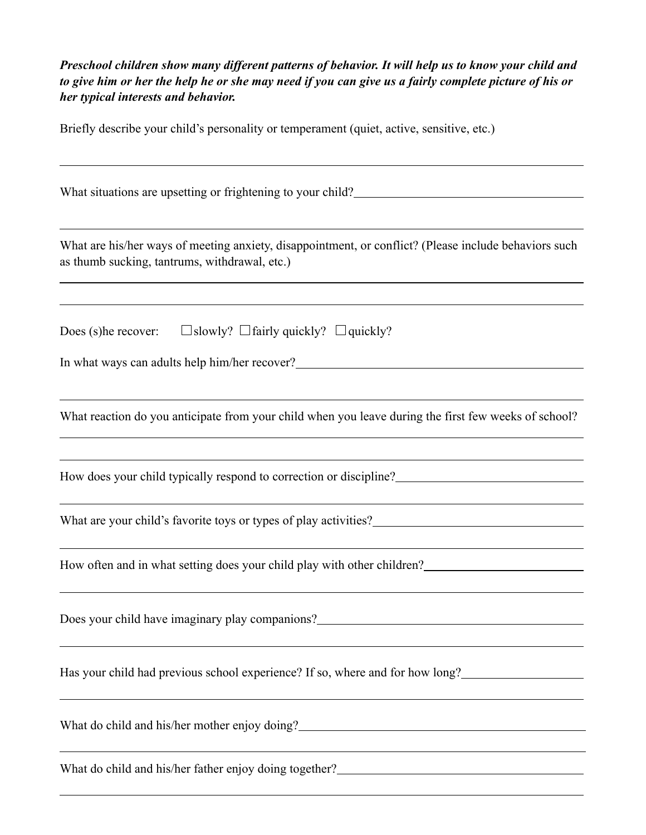*Preschool children show many different patterns of behavior. It will help us to know your child and to give him or her the help he or she may need if you can give us a fairly complete picture of his or her typical interests and behavior.*

Briefly describe your child's personality or temperament (quiet, active, sensitive, etc.)

| What situations are upsetting or frightening to your child?                                                                                            |
|--------------------------------------------------------------------------------------------------------------------------------------------------------|
|                                                                                                                                                        |
| What are his/her ways of meeting anxiety, disappointment, or conflict? (Please include behaviors such<br>as thumb sucking, tantrums, withdrawal, etc.) |
|                                                                                                                                                        |
| Does (s) he recover: $\Box$ slowly? $\Box$ fairly quickly? $\Box$ quickly?                                                                             |
| In what ways can adults help him/her recover?___________________________________                                                                       |
|                                                                                                                                                        |
| What reaction do you anticipate from your child when you leave during the first few weeks of school?                                                   |
| ,我们也不会有什么。""我们的人,我们也不会有什么?""我们的人,我们也不会有什么?""我们的人,我们也不会有什么?""我们的人,我们也不会有什么?""我们的人                                                                       |
| How does your child typically respond to correction or discipline?                                                                                     |
| What are your child's favorite toys or types of play activities?<br><u>Letting</u>                                                                     |
| ,我们也不能在这里的时候,我们也不能在这里的时候,我们也不能会在这里的时候,我们也不能会在这里的时候,我们也不能会在这里的时候,我们也不能会在这里的时候,我们也                                                                       |
| How often and in what setting does your child play with other children?                                                                                |
|                                                                                                                                                        |
| Does your child have imaginary play companions?__________________________________                                                                      |
|                                                                                                                                                        |
| Has your child had previous school experience? If so, where and for how long?                                                                          |
|                                                                                                                                                        |
| What do child and his/her mother enjoy doing?___________________________________                                                                       |
| What do child and his/her father enjoy doing together?                                                                                                 |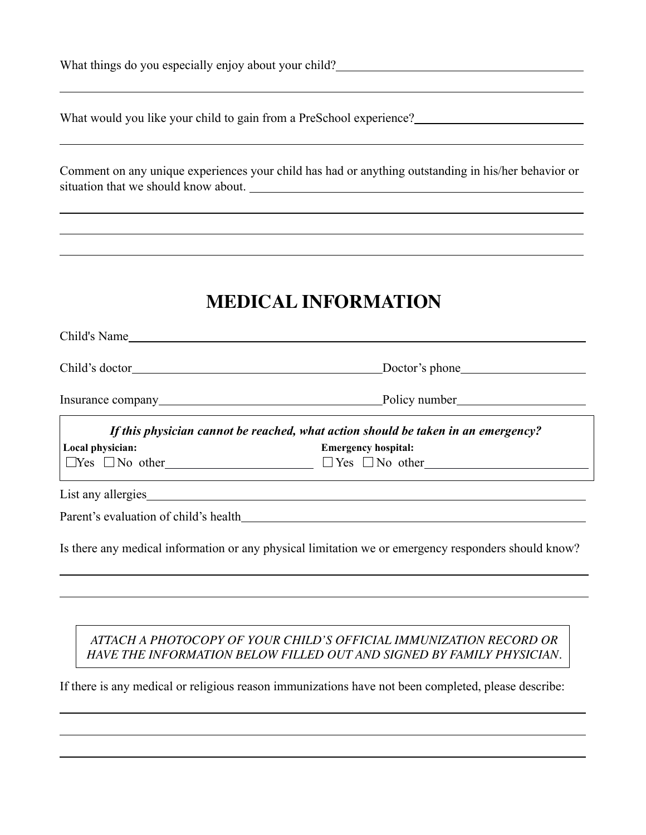| What things do you especially enjoy about your child? |  |  |  |
|-------------------------------------------------------|--|--|--|

 $\overline{a}$ 

 $\overline{a}$ 

 $\overline{a}$ 

 $\overline{a}$ 

 $\overline{a}$ 

What would you like your child to gain from a PreSchool experience?

Comment on any unique experiences your child has had or anything outstanding in his/her behavior or situation that we should know about.

# **MEDICAL INFORMATION**

| Child's Name     |                                                                                                                                                                                                                                         |
|------------------|-----------------------------------------------------------------------------------------------------------------------------------------------------------------------------------------------------------------------------------------|
|                  |                                                                                                                                                                                                                                         |
|                  |                                                                                                                                                                                                                                         |
| Local physician: | If this physician cannot be reached, what action should be taken in an emergency?<br><b>Emergency hospital:</b><br><u> 1989 - Andrea Santa Alemania, amerikana amerikana amerikana amerikana amerikana amerikana amerikana amerikan</u> |
|                  | List any allergies                                                                                                                                                                                                                      |
|                  | Is there any medical information or any physical limitation we or emergency responders should know?                                                                                                                                     |

### *ATTACH A PHOTOCOPY OF YOUR CHILD'S OFFICIAL IMMUNIZATION RECORD OR HAVE THE INFORMATION BELOW FILLED OUT AND SIGNED BY FAMILY PHYSICIAN.*

If there is any medical or religious reason immunizations have not been completed, please describe: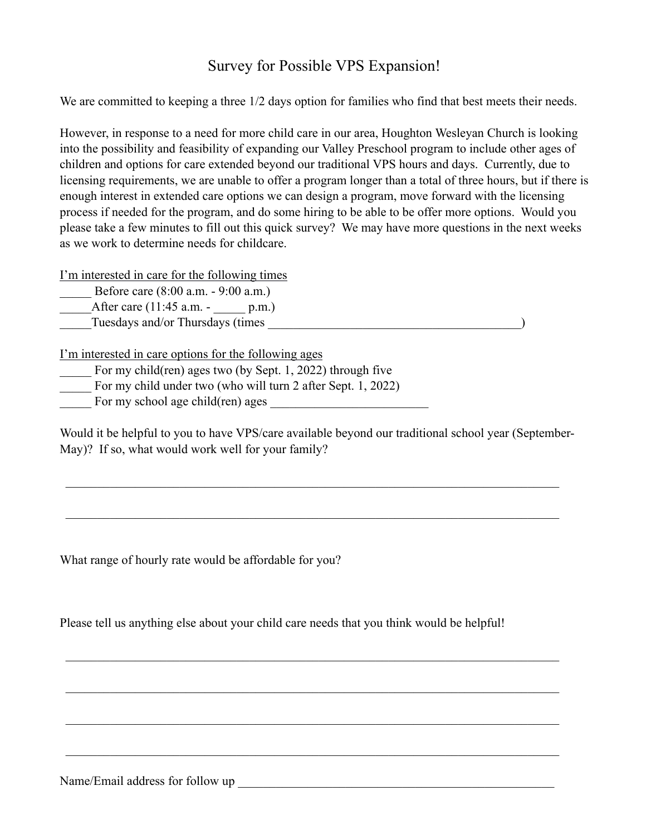### Survey for Possible VPS Expansion!

We are committed to keeping a three  $1/2$  days option for families who find that best meets their needs.

However, in response to a need for more child care in our area, Houghton Wesleyan Church is looking into the possibility and feasibility of expanding our Valley Preschool program to include other ages of children and options for care extended beyond our traditional VPS hours and days. Currently, due to licensing requirements, we are unable to offer a program longer than a total of three hours, but if there is enough interest in extended care options we can design a program, move forward with the licensing process if needed for the program, and do some hiring to be able to be offer more options. Would you please take a few minutes to fill out this quick survey? We may have more questions in the next weeks as we work to determine needs for childcare.

I'm interested in care for the following times

Before care (8:00 a.m. - 9:00 a.m.)

After care  $(11:45 \text{ a.m. - p.m.})$ \_\_\_\_\_Tuesdays and/or Thursdays (times \_\_\_\_\_\_\_\_\_\_\_\_\_\_\_\_\_\_\_\_\_\_\_\_\_\_\_\_\_\_\_\_\_\_\_\_\_\_\_\_)

I'm interested in care options for the following ages

- For my child(ren) ages two (by Sept. 1, 2022) through five
- \_\_\_\_\_ For my child under two (who will turn 2 after Sept. 1, 2022)
- For my school age child(ren) ages

Would it be helpful to you to have VPS/care available beyond our traditional school year (September-May)? If so, what would work well for your family?

 $\mathcal{L}_\text{max}$  , and the contribution of the contribution of the contribution of the contribution of the contribution of the contribution of the contribution of the contribution of the contribution of the contribution of t

 $\mathcal{L}_\mathcal{L} = \{ \mathcal{L}_\mathcal{L} = \{ \mathcal{L}_\mathcal{L} = \{ \mathcal{L}_\mathcal{L} = \{ \mathcal{L}_\mathcal{L} = \{ \mathcal{L}_\mathcal{L} = \{ \mathcal{L}_\mathcal{L} = \{ \mathcal{L}_\mathcal{L} = \{ \mathcal{L}_\mathcal{L} = \{ \mathcal{L}_\mathcal{L} = \{ \mathcal{L}_\mathcal{L} = \{ \mathcal{L}_\mathcal{L} = \{ \mathcal{L}_\mathcal{L} = \{ \mathcal{L}_\mathcal{L} = \{ \mathcal{L}_\mathcal{$ 

 $\mathcal{L}_\text{max}$  , and the contribution of the contribution of the contribution of the contribution of the contribution of the contribution of the contribution of the contribution of the contribution of the contribution of t

 $\mathcal{L}_\mathcal{L} = \{ \mathcal{L}_\mathcal{L} = \{ \mathcal{L}_\mathcal{L} = \{ \mathcal{L}_\mathcal{L} = \{ \mathcal{L}_\mathcal{L} = \{ \mathcal{L}_\mathcal{L} = \{ \mathcal{L}_\mathcal{L} = \{ \mathcal{L}_\mathcal{L} = \{ \mathcal{L}_\mathcal{L} = \{ \mathcal{L}_\mathcal{L} = \{ \mathcal{L}_\mathcal{L} = \{ \mathcal{L}_\mathcal{L} = \{ \mathcal{L}_\mathcal{L} = \{ \mathcal{L}_\mathcal{L} = \{ \mathcal{L}_\mathcal{$ 

 $\mathcal{L}_\mathcal{L} = \{ \mathcal{L}_\mathcal{L} = \{ \mathcal{L}_\mathcal{L} = \{ \mathcal{L}_\mathcal{L} = \{ \mathcal{L}_\mathcal{L} = \{ \mathcal{L}_\mathcal{L} = \{ \mathcal{L}_\mathcal{L} = \{ \mathcal{L}_\mathcal{L} = \{ \mathcal{L}_\mathcal{L} = \{ \mathcal{L}_\mathcal{L} = \{ \mathcal{L}_\mathcal{L} = \{ \mathcal{L}_\mathcal{L} = \{ \mathcal{L}_\mathcal{L} = \{ \mathcal{L}_\mathcal{L} = \{ \mathcal{L}_\mathcal{$ 

 $\mathcal{L}_\mathcal{L} = \{ \mathcal{L}_\mathcal{L} = \{ \mathcal{L}_\mathcal{L} = \{ \mathcal{L}_\mathcal{L} = \{ \mathcal{L}_\mathcal{L} = \{ \mathcal{L}_\mathcal{L} = \{ \mathcal{L}_\mathcal{L} = \{ \mathcal{L}_\mathcal{L} = \{ \mathcal{L}_\mathcal{L} = \{ \mathcal{L}_\mathcal{L} = \{ \mathcal{L}_\mathcal{L} = \{ \mathcal{L}_\mathcal{L} = \{ \mathcal{L}_\mathcal{L} = \{ \mathcal{L}_\mathcal{L} = \{ \mathcal{L}_\mathcal{$ 

What range of hourly rate would be affordable for you?

Please tell us anything else about your child care needs that you think would be helpful!

Name/Email address for follow up \_\_\_\_\_\_\_\_\_\_\_\_\_\_\_\_\_\_\_\_\_\_\_\_\_\_\_\_\_\_\_\_\_\_\_\_\_\_\_\_\_\_\_\_\_\_\_\_\_\_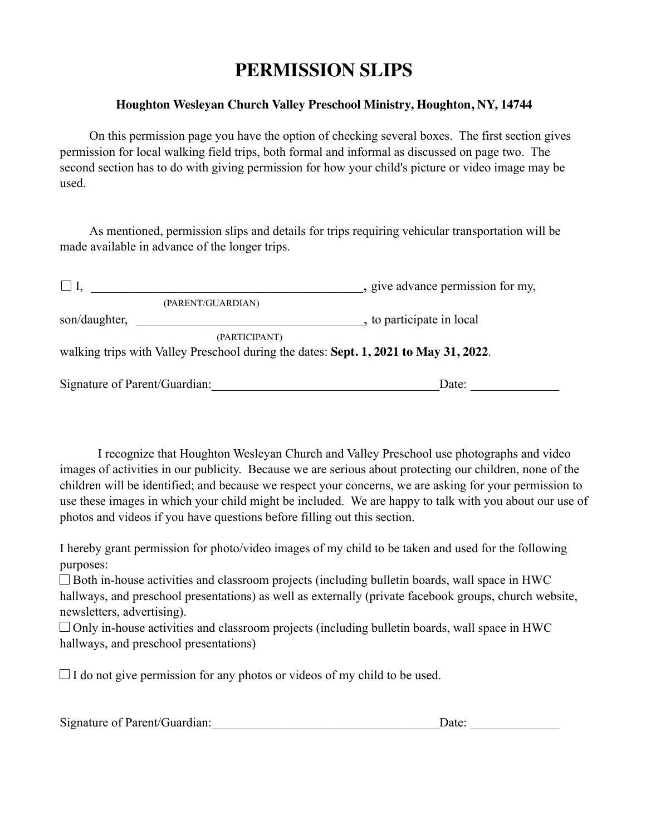# **PERMISSION SLIPS**

### **Houghton Wesleyan Church Valley Preschool Ministry, Houghton, NY, 14744**

 On this permission page you have the option of checking several boxes. The first section gives permission for local walking field trips, both formal and informal as discussed on page two. The second section has to do with giving permission for how your child's picture or video image may be used.

 As mentioned, permission slips and details for trips requiring vehicular transportation will be made available in advance of the longer trips.

|               |                               | , give advance permission for my,                                                    |
|---------------|-------------------------------|--------------------------------------------------------------------------------------|
|               | (PARENT/GUARDIAN)             |                                                                                      |
| son/daughter, |                               | , to participate in local                                                            |
|               | (PARTICIPANT)                 | walking trips with Valley Preschool during the dates: Sept. 1, 2021 to May 31, 2022. |
|               | Signature of Parent/Guardian: | Date:                                                                                |

 I recognize that Houghton Wesleyan Church and Valley Preschool use photographs and video images of activities in our publicity. Because we are serious about protecting our children, none of the children will be identified; and because we respect your concerns, we are asking for your permission to use these images in which your child might be included. We are happy to talk with you about our use of photos and videos if you have questions before filling out this section.

I hereby grant permission for photo/video images of my child to be taken and used for the following purposes:

 $\Box$  Both in-house activities and classroom projects (including bulletin boards, wall space in HWC hallways, and preschool presentations) as well as externally (private facebook groups, church website, newsletters, advertising).

 $\Box$  Only in-house activities and classroom projects (including bulletin boards, wall space in HWC hallways, and preschool presentations)

 $\Box$  I do not give permission for any photos or videos of my child to be used.

| Signature of Parent/Guardian: | Date: |
|-------------------------------|-------|
|                               |       |